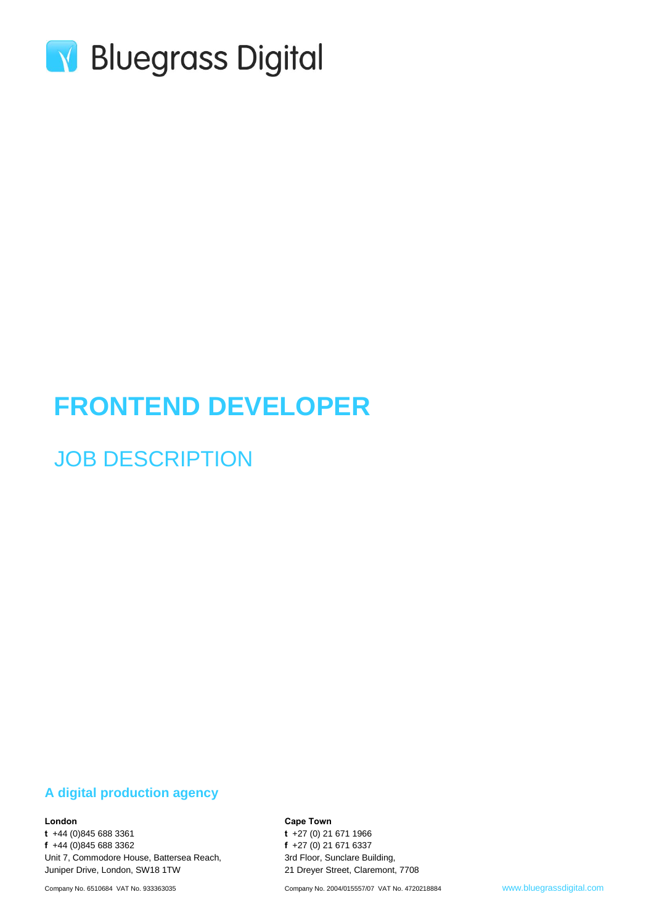

# **FRONTEND DEVELOPER**

## JOB DESCRIPTION

#### **A digital production agency**

#### **London**

**t** +44 (0)845 688 3361 **f** +44 (0)845 688 3362 Unit 7, Commodore House, Battersea Reach, Juniper Drive, London, SW18 1TW

**Cape Town**

**t** +27 (0) 21 671 1966 **f** +27 (0) 21 671 6337 3rd Floor, Sunclare Building, 21 Dreyer Street, Claremont, 7708

Company No. 2004/015557/07 VAT No. 4720218884 www.bluegrassdigital.com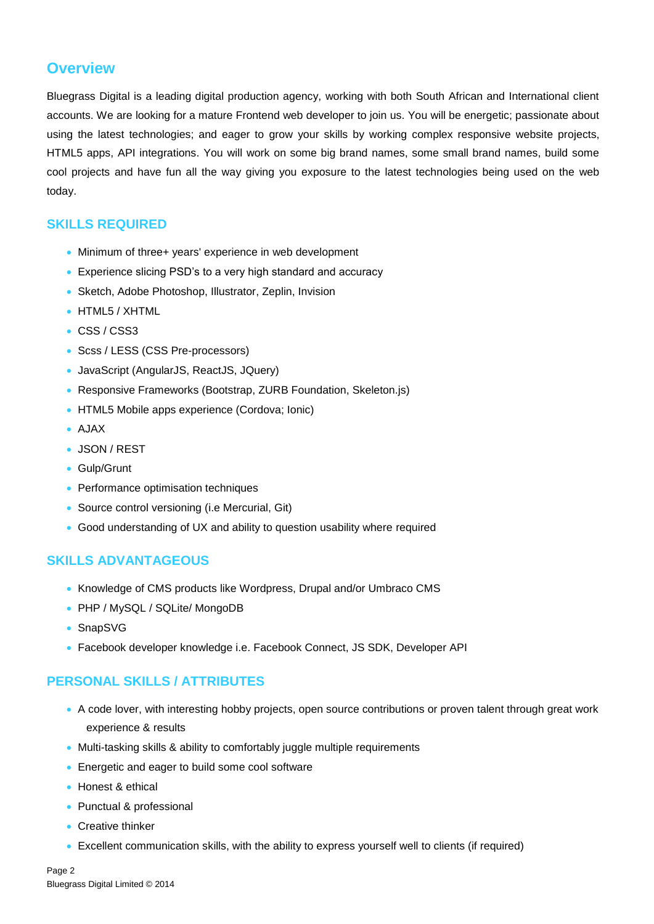### **Overview**

Bluegrass Digital is a leading digital production agency, working with both South African and International client accounts. We are looking for a mature Frontend web developer to join us. You will be energetic; passionate about using the latest technologies; and eager to grow your skills by working complex responsive website projects, HTML5 apps, API integrations. You will work on some big brand names, some small brand names, build some cool projects and have fun all the way giving you exposure to the latest technologies being used on the web today.

#### **SKILLS REQUIRED**

- Minimum of three+ years' experience in web development
- Experience slicing PSD's to a very high standard and accuracy
- Sketch, Adobe Photoshop, Illustrator, Zeplin, Invision
- HTML5 / XHTML
- CSS / CSS3
- Scss / LESS (CSS Pre-processors)
- JavaScript (AngularJS, ReactJS, JQuery)
- Responsive Frameworks (Bootstrap, ZURB Foundation, Skeleton.js)
- HTML5 Mobile apps experience (Cordova; Ionic)
- $\bullet$  AJAX
- JSON / REST
- Gulp/Grunt
- Performance optimisation techniques
- Source control versioning (i.e Mercurial, Git)
- Good understanding of UX and ability to question usability where required

#### **SKILLS ADVANTAGEOUS**

- Knowledge of CMS products like Wordpress, Drupal and/or Umbraco CMS
- PHP / MySQL / SQLite/ MongoDB
- SnapSVG
- Facebook developer knowledge i.e. Facebook Connect, JS SDK, Developer API

#### **PERSONAL SKILLS / ATTRIBUTES**

- A code lover, with interesting hobby projects, open source contributions or proven talent through great work experience & results
- Multi-tasking skills & ability to comfortably juggle multiple requirements
- **Energetic and eager to build some cool software**
- Honest & ethical
- Punctual & professional
- Creative thinker
- Excellent communication skills, with the ability to express yourself well to clients (if required)